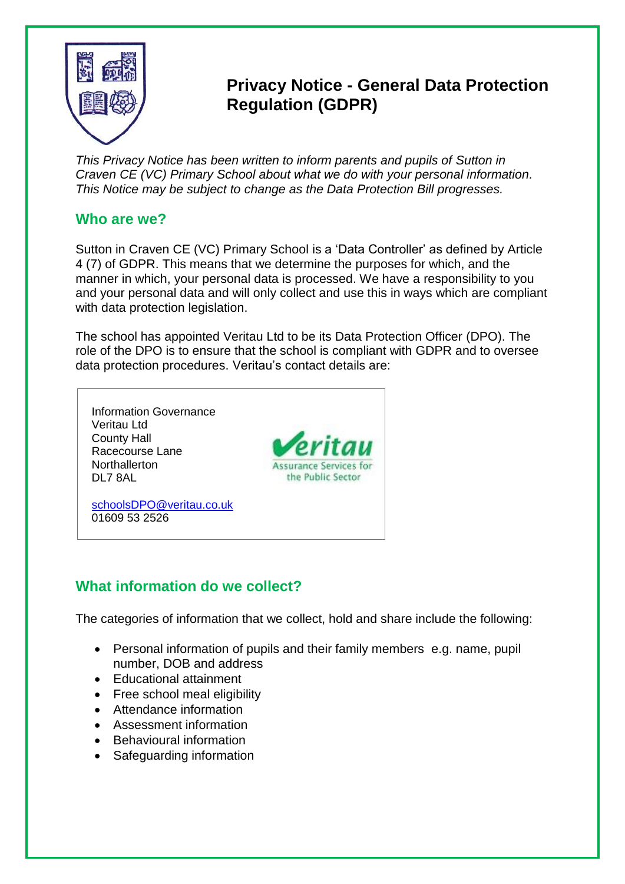

# **x Privacy Notice - General Data Protection Regulation (GDPR)**

*This Privacy Notice has been written to inform parents and pupils of Sutton in Craven CE (VC) Primary School about what we do with your personal information. This Notice may be subject to change as the Data Protection Bill progresses.*

## **Who are we?**

Sutton in Craven CE (VC) Primary School is a 'Data Controller' as defined by Article 4 (7) of GDPR. This means that we determine the purposes for which, and the manner in which, your personal data is processed. We have a responsibility to you and your personal data and will only collect and use this in ways which are compliant with data protection legislation.

The school has appointed Veritau Ltd to be its Data Protection Officer (DPO). The role of the DPO is to ensure that the school is compliant with GDPR and to oversee data protection procedures. Veritau's contact details are:



## **What information do we collect?**

The categories of information that we collect, hold and share include the following:

- Personal information of pupils and their family members e.g. name, pupil number, DOB and address
- Educational attainment
- Free school meal eligibility
- Attendance information
- Assessment information
- Behavioural information
- Safeguarding information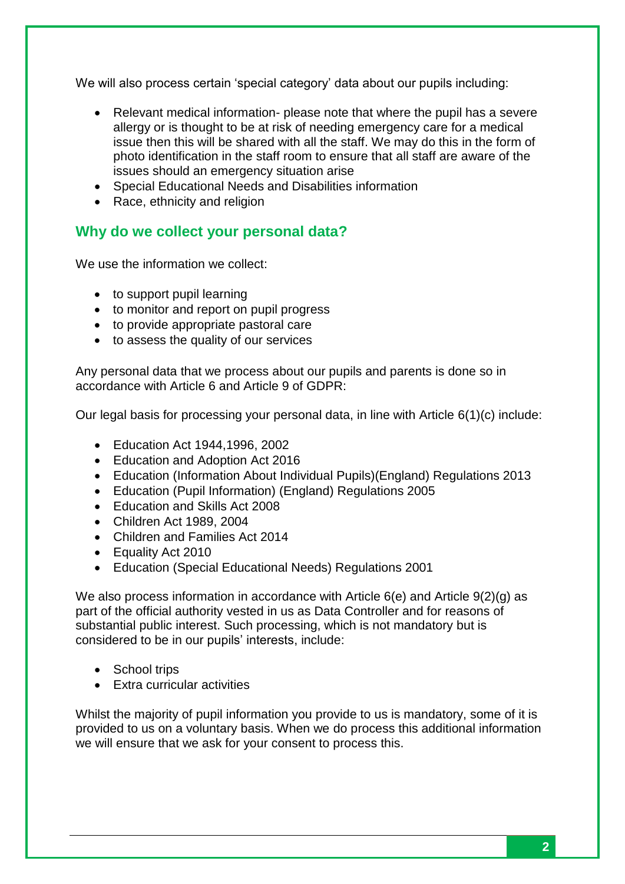We will also process certain 'special category' data about our pupils including:

- Relevant medical information- please note that where the pupil has a severe allergy or is thought to be at risk of needing emergency care for a medical issue then this will be shared with all the staff. We may do this in the form of photo identification in the staff room to ensure that all staff are aware of the issues should an emergency situation arise
- Special Educational Needs and Disabilities information
- Race, ethnicity and religion

## **Why do we collect your personal data?**

We use the information we collect:

- to support pupil learning
- to monitor and report on pupil progress
- to provide appropriate pastoral care
- to assess the quality of our services

Any personal data that we process about our pupils and parents is done so in accordance with Article 6 and Article 9 of GDPR:

Our legal basis for processing your personal data, in line with Article  $6(1)(c)$  include:

- Education Act 1944,1996, 2002
- Education and Adoption Act 2016
- Education (Information About Individual Pupils)(England) Regulations 2013
- Education (Pupil Information) (England) Regulations 2005
- Education and Skills Act 2008
- Children Act 1989, 2004
- Children and Families Act 2014
- Equality Act 2010
- Education (Special Educational Needs) Regulations 2001

We also process information in accordance with Article 6(e) and Article 9(2)(g) as part of the official authority vested in us as Data Controller and for reasons of substantial public interest. Such processing, which is not mandatory but is considered to be in our pupils' interests, include:

- School trips
- Extra curricular activities

Whilst the majority of pupil information you provide to us is mandatory, some of it is provided to us on a voluntary basis. When we do process this additional information we will ensure that we ask for your consent to process this.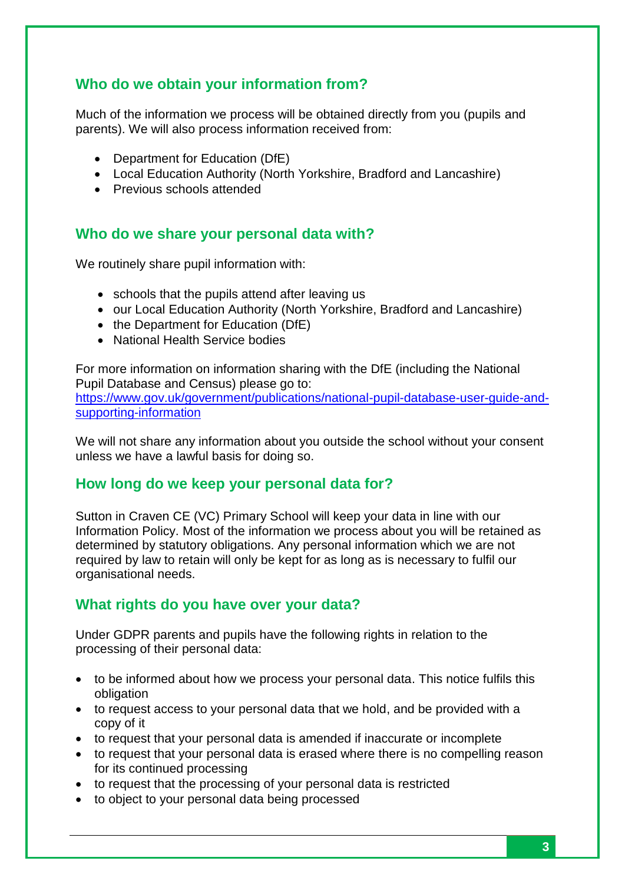## **Who do we obtain your information from?**

Much of the information we process will be obtained directly from you (pupils and parents). We will also process information received from:

- Department for Education (DfE)
- Local Education Authority (North Yorkshire, Bradford and Lancashire)
- Previous schools attended

#### **Who do we share your personal data with?**

We routinely share pupil information with:

- schools that the pupils attend after leaving us
- our Local Education Authority (North Yorkshire, Bradford and Lancashire)
- the Department for Education (DfE)
- National Health Service bodies

For more information on information sharing with the DfE (including the National Pupil Database and Census) please go to: [https://www.gov.uk/government/publications/national-pupil-database-user-guide-and-](https://www.gov.uk/government/publications/national-pupil-database-user-guide-and-supporting-information)

[supporting-information](https://www.gov.uk/government/publications/national-pupil-database-user-guide-and-supporting-information)

We will not share any information about you outside the school without your consent unless we have a lawful basis for doing so.

#### **How long do we keep your personal data for?**

Sutton in Craven CE (VC) Primary School will keep your data in line with our Information Policy. Most of the information we process about you will be retained as determined by statutory obligations. Any personal information which we are not required by law to retain will only be kept for as long as is necessary to fulfil our organisational needs.

#### **What rights do you have over your data?**

Under GDPR parents and pupils have the following rights in relation to the processing of their personal data:

- to be informed about how we process your personal data. This notice fulfils this obligation
- to request access to your personal data that we hold, and be provided with a copy of it
- to request that your personal data is amended if inaccurate or incomplete
- to request that your personal data is erased where there is no compelling reason for its continued processing
- to request that the processing of your personal data is restricted
- to object to your personal data being processed